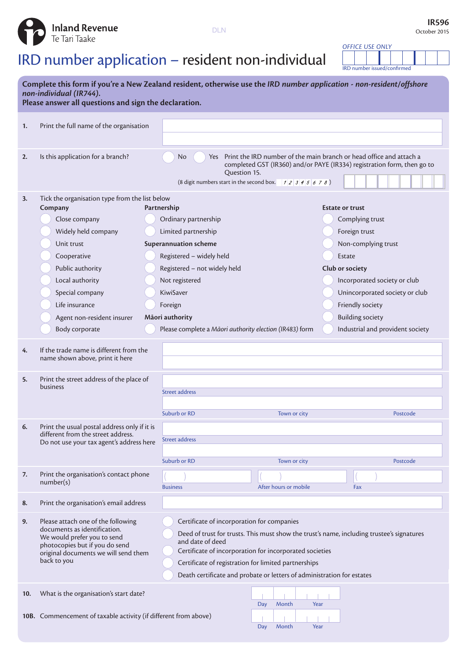

## IRD number application – resident non-individual

*OFFICE USE ONLY* IRD number issued/confirmed

| Complete this form if you're a New Zealand resident, otherwise use the IRD number application - non-resident/offshore<br>non-individual (IR744).<br>Please answer all questions and sign the declaration. |                                                                                                                                                                                                                                                            |                                                                                                                                                                                                                                                                                                                                                          |                       |                                                                                                                                                               |                                                                                                    |  |  |  |
|-----------------------------------------------------------------------------------------------------------------------------------------------------------------------------------------------------------|------------------------------------------------------------------------------------------------------------------------------------------------------------------------------------------------------------------------------------------------------------|----------------------------------------------------------------------------------------------------------------------------------------------------------------------------------------------------------------------------------------------------------------------------------------------------------------------------------------------------------|-----------------------|---------------------------------------------------------------------------------------------------------------------------------------------------------------|----------------------------------------------------------------------------------------------------|--|--|--|
| 1.                                                                                                                                                                                                        | Print the full name of the organisation                                                                                                                                                                                                                    |                                                                                                                                                                                                                                                                                                                                                          |                       |                                                                                                                                                               |                                                                                                    |  |  |  |
| 2.                                                                                                                                                                                                        | Is this application for a branch?                                                                                                                                                                                                                          | Print the IRD number of the main branch or head office and attach a<br>No<br>Yes<br>completed GST (IR360) and/or PAYE (IR334) registration form, then go to<br>Question 15.<br>(8 digit numbers start in the second box. $\begin{array}{cc} 1 & 2 & 3 & 4 & 5 & 6 & 7 & 8 \end{array}$ )                                                                 |                       |                                                                                                                                                               |                                                                                                    |  |  |  |
| 3.                                                                                                                                                                                                        | Tick the organisation type from the list below<br>Company<br>Close company<br>Widely held company<br>Unit trust<br>Cooperative<br>Public authority<br>Local authority<br>Special company<br>Life insurance<br>Agent non-resident insurer<br>Body corporate | Partnership<br>Ordinary partnership<br>Limited partnership<br><b>Superannuation scheme</b><br>Registered - widely held<br>Registered - not widely held<br>Not registered<br>KiwiSaver<br>Foreign<br>Māori authority<br>Please complete a Māori authority election (IR483) form                                                                           |                       | <b>Estate or trust</b><br>Complying trust<br>Foreign trust<br>Non-complying trust<br>Estate<br>Club or society<br>Friendly society<br><b>Building society</b> | Incorporated society or club<br>Unincorporated society or club<br>Industrial and provident society |  |  |  |
| 4.                                                                                                                                                                                                        | If the trade name is different from the<br>name shown above, print it here                                                                                                                                                                                 |                                                                                                                                                                                                                                                                                                                                                          |                       |                                                                                                                                                               |                                                                                                    |  |  |  |
| 5.                                                                                                                                                                                                        | Print the street address of the place of<br>business                                                                                                                                                                                                       | <b>Street address</b><br>Suburb or RD                                                                                                                                                                                                                                                                                                                    | Town or city          |                                                                                                                                                               | Postcode                                                                                           |  |  |  |
| 6.                                                                                                                                                                                                        | Print the usual postal address only if it is<br>different from the street address.<br>Do not use your tax agent's address here                                                                                                                             | <b>Street address</b><br>Suburb or RD                                                                                                                                                                                                                                                                                                                    | Town or city          |                                                                                                                                                               | Postcode                                                                                           |  |  |  |
| 7.                                                                                                                                                                                                        | Print the organisation's contact phone<br>number(s)                                                                                                                                                                                                        | <b>Business</b>                                                                                                                                                                                                                                                                                                                                          | After hours or mobile | Fax                                                                                                                                                           |                                                                                                    |  |  |  |
| 8.                                                                                                                                                                                                        | Print the organisation's email address                                                                                                                                                                                                                     |                                                                                                                                                                                                                                                                                                                                                          |                       |                                                                                                                                                               |                                                                                                    |  |  |  |
| 9.                                                                                                                                                                                                        | Please attach one of the following<br>documents as identification.<br>We would prefer you to send<br>photocopies but if you do send<br>original documents we will send them<br>back to you                                                                 | Certificate of incorporation for companies<br>Deed of trust for trusts. This must show the trust's name, including trustee's signatures<br>and date of deed<br>Certificate of incorporation for incorporated societies<br>Certificate of registration for limited partnerships<br>Death certificate and probate or letters of administration for estates |                       |                                                                                                                                                               |                                                                                                    |  |  |  |
| 10.                                                                                                                                                                                                       | What is the organisation's start date?                                                                                                                                                                                                                     |                                                                                                                                                                                                                                                                                                                                                          | Month<br>Year<br>Day  |                                                                                                                                                               |                                                                                                    |  |  |  |
|                                                                                                                                                                                                           | 10B. Commencement of taxable activity (if different from above)                                                                                                                                                                                            |                                                                                                                                                                                                                                                                                                                                                          |                       |                                                                                                                                                               |                                                                                                    |  |  |  |

Day Month Year